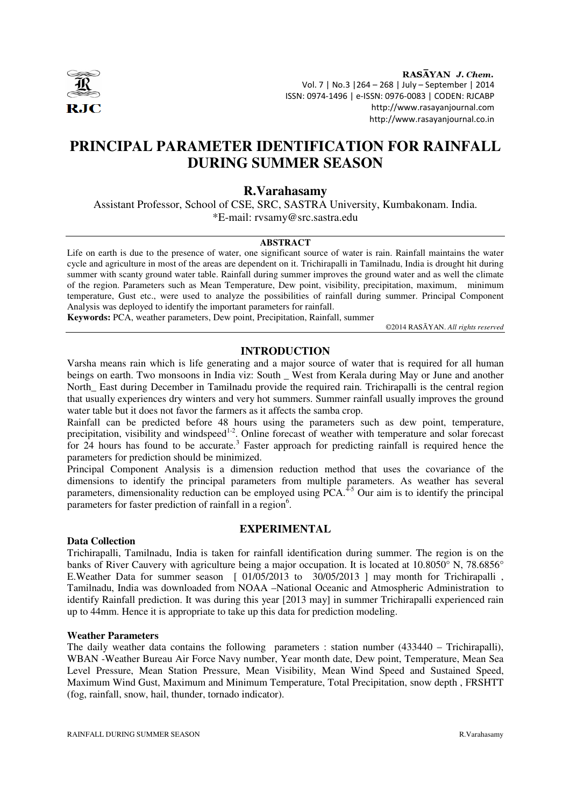

RASAYAN J. Chem. Vol. 7 | No.3 |264 – 268 | July – September | 2014 ISSN: 0974-1496 | e-ISSN: 0976-0083 | CODEN: RJCABP http://www.rasayanjournal.com http://www.rasayanjournal.co.in

# **PRINCIPAL PARAMETER IDENTIFICATION FOR RAINFALL DURING SUMMER SEASON**

# **R.Varahasamy**

Assistant Professor, School of CSE, SRC, SASTRA University, Kumbakonam. India. \*E-mail: rvsamy@src.sastra.edu

#### **ABSTRACT**

Life on earth is due to the presence of water, one significant source of water is rain. Rainfall maintains the water cycle and agriculture in most of the areas are dependent on it. Trichirapalli in Tamilnadu, India is drought hit during summer with scanty ground water table. Rainfall during summer improves the ground water and as well the climate of the region. Parameters such as Mean Temperature, Dew point, visibility, precipitation, maximum, minimum temperature, Gust etc., were used to analyze the possibilities of rainfall during summer. Principal Component Analysis was deployed to identify the important parameters for rainfall.

**Keywords:** PCA, weather parameters, Dew point, Precipitation, Rainfall, summer

©2014 RASĀYAN. *All rights reserved*

## **INTRODUCTION**

Varsha means rain which is life generating and a major source of water that is required for all human beings on earth. Two monsoons in India viz: South \_ West from Kerala during May or June and another North\_ East during December in Tamilnadu provide the required rain. Trichirapalli is the central region that usually experiences dry winters and very hot summers. Summer rainfall usually improves the ground water table but it does not favor the farmers as it affects the samba crop.

Rainfall can be predicted before 48 hours using the parameters such as dew point, temperature, precipitation, visibility and windspeed<sup>1-2</sup>. Online forecast of weather with temperature and solar forecast for  $24$  hours has found to be accurate.<sup>3</sup> Faster approach for predicting rainfall is required hence the parameters for prediction should be minimized.

Principal Component Analysis is a dimension reduction method that uses the covariance of the dimensions to identify the principal parameters from multiple parameters. As weather has several parameters, dimensionality reduction can be employed using  $\hat{PCA}$ .<sup>4-5</sup> Our aim is to identify the principal parameters for faster prediction of rainfall in a region<sup>6</sup>.

### **EXPERIMENTAL**

#### **Data Collection**

Trichirapalli, Tamilnadu, India is taken for rainfall identification during summer. The region is on the banks of River Cauvery with agriculture being a major occupation. It is located at 10.8050° N, 78.6856° E. Weather Data for summer season [ 01/05/2013 to 30/05/2013 ] may month for Trichirapalli, Tamilnadu, India was downloaded from NOAA –National Oceanic and Atmospheric Administration to identify Rainfall prediction. It was during this year [2013 may] in summer Trichirapalli experienced rain up to 44mm. Hence it is appropriate to take up this data for prediction modeling.

#### **Weather Parameters**

The daily weather data contains the following parameters : station number (433440 – Trichirapalli), WBAN -Weather Bureau Air Force Navy number, Year month date, Dew point, Temperature, Mean Sea Level Pressure, Mean Station Pressure, Mean Visibility, Mean Wind Speed and Sustained Speed, Maximum Wind Gust, Maximum and Minimum Temperature, Total Precipitation, snow depth , FRSHTT (fog, rainfall, snow, hail, thunder, tornado indicator).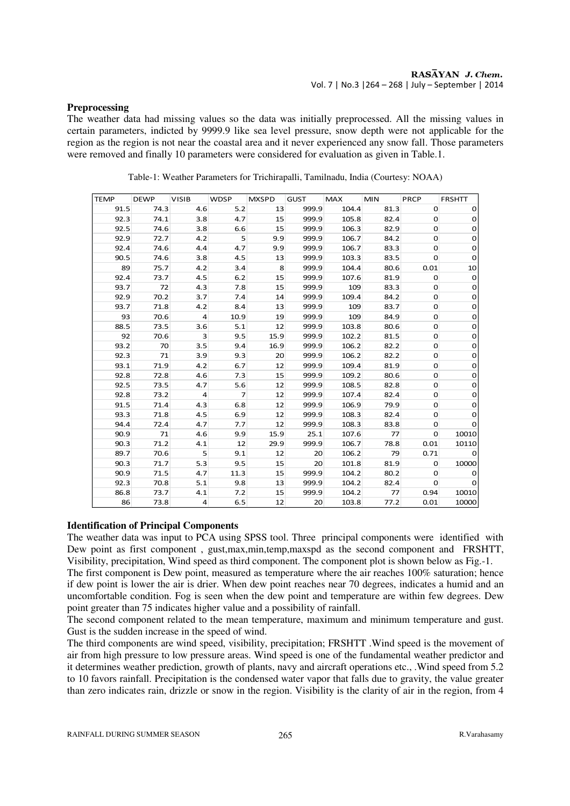#### **Preprocessing**

The weather data had missing values so the data was initially preprocessed. All the missing values in certain parameters, indicted by 9999.9 like sea level pressure, snow depth were not applicable for the region as the region is not near the coastal area and it never experienced any snow fall. Those parameters were removed and finally 10 parameters were considered for evaluation as given in Table.1.

| <b>TEMP</b> | <b>DEWP</b> | <b>VISIB</b>   | <b>WDSP</b>    | <b>MXSPD</b> | <b>GUST</b> | <b>MAX</b> | <b>MIN</b> | <b>PRCP</b>  | <b>FRSHTT</b>  |
|-------------|-------------|----------------|----------------|--------------|-------------|------------|------------|--------------|----------------|
| 91.5        | 74.3        | 4.6            | 5.2            | 13           | 999.9       | 104.4      | 81.3       | 0            | 0              |
| 92.3        | 74.1        | 3.8            | 4.7            | 15           | 999.9       | 105.8      | 82.4       | 0            | 0              |
| 92.5        | 74.6        | 3.8            | 6.6            | 15           | 999.9       | 106.3      | 82.9       | 0            | $\mathbf 0$    |
| 92.9        | 72.7        | 4.2            | 5              | 9.9          | 999.9       | 106.7      | 84.2       | 0            | $\mathbf 0$    |
| 92.4        | 74.6        | 4.4            | 4.7            | 9.9          | 999.9       | 106.7      | 83.3       | 0            | 0              |
| 90.5        | 74.6        | 3.8            | 4.5            | 13           | 999.9       | 103.3      | 83.5       | 0            | $\mathbf 0$    |
| 89          | 75.7        | 4.2            | 3.4            | 8            | 999.9       | 104.4      | 80.6       | 0.01         | 10             |
| 92.4        | 73.7        | 4.5            | 6.2            | 15           | 999.9       | 107.6      | 81.9       | 0            | $\mathbf 0$    |
| 93.7        | 72          | 4.3            | 7.8            | 15           | 999.9       | 109        | 83.3       | 0            | $\mathbf 0$    |
| 92.9        | 70.2        | 3.7            | 7.4            | 14           | 999.9       | 109.4      | 84.2       | 0            | $\mathbf 0$    |
| 93.7        | 71.8        | 4.2            | 8.4            | 13           | 999.9       | 109        | 83.7       | 0            | 0              |
| 93          | 70.6        | 4              | 10.9           | 19           | 999.9       | 109        | 84.9       | 0            | $\mathbf 0$    |
| 88.5        | 73.5        | 3.6            | 5.1            | 12           | 999.9       | 103.8      | 80.6       | 0            | $\mathbf 0$    |
| 92          | 70.6        | 3              | 9.5            | 15.9         | 999.9       | 102.2      | 81.5       | 0            | 0              |
| 93.2        | 70          | 3.5            | 9.4            | 16.9         | 999.9       | 106.2      | 82.2       | 0            | $\mathbf 0$    |
| 92.3        | 71          | 3.9            | 9.3            | 20           | 999.9       | 106.2      | 82.2       | 0            | $\mathbf 0$    |
| 93.1        | 71.9        | 4.2            | 6.7            | 12           | 999.9       | 109.4      | 81.9       | 0            | 0              |
| 92.8        | 72.8        | 4.6            | 7.3            | 15           | 999.9       | 109.2      | 80.6       | 0            | $\mathbf 0$    |
| 92.5        | 73.5        | 4.7            | 5.6            | 12           | 999.9       | 108.5      | 82.8       | 0            | $\overline{0}$ |
| 92.8        | 73.2        | 4              | $\overline{7}$ | 12           | 999.9       | 107.4      | 82.4       | 0            | 0              |
| 91.5        | 71.4        | 4.3            | 6.8            | 12           | 999.9       | 106.9      | 79.9       | 0            | $\mathbf 0$    |
| 93.3        | 71.8        | 4.5            | 6.9            | 12           | 999.9       | 108.3      | 82.4       | 0            | $\mathbf 0$    |
| 94.4        | 72.4        | 4.7            | 7.7            | 12           | 999.9       | 108.3      | 83.8       | 0            | $\mathbf 0$    |
| 90.9        | 71          | 4.6            | 9.9            | 15.9         | 25.1        | 107.6      | 77         | 0            | 10010          |
| 90.3        | 71.2        | 4.1            | 12             | 29.9         | 999.9       | 106.7      | 78.8       | 0.01         | 10110          |
| 89.7        | 70.6        | 5              | 9.1            | 12           | 20          | 106.2      | 79         | 0.71         | 0              |
| 90.3        | 71.7        | 5.3            | 9.5            | 15           | 20          | 101.8      | 81.9       | $\mathbf{0}$ | 10000          |
| 90.9        | 71.5        | 4.7            | 11.3           | 15           | 999.9       | 104.2      | 80.2       | 0            | 0              |
| 92.3        | 70.8        | 5.1            | 9.8            | 13           | 999.9       | 104.2      | 82.4       | 0            | 0              |
| 86.8        | 73.7        | 4.1            | 7.2            | 15           | 999.9       | 104.2      | 77         | 0.94         | 10010          |
| 86          | 73.8        | $\overline{4}$ | 6.5            | 12           | 20          | 103.8      | 77.2       | 0.01         | 10000          |

Table-1: Weather Parameters for Trichirapalli, Tamilnadu, India (Courtesy: NOAA)

# **Identification of Principal Components**

The weather data was input to PCA using SPSS tool. Three principal components were identified with Dew point as first component , gust,max,min,temp,maxspd as the second component and FRSHTT, Visibility, precipitation, Wind speed as third component. The component plot is shown below as Fig.-1.

The first component is Dew point, measured as temperature where the air reaches 100% saturation; hence if dew point is lower the air is drier. When dew point reaches near 70 degrees, indicates a humid and an uncomfortable condition. Fog is seen when the dew point and temperature are within few degrees. Dew point greater than 75 indicates higher value and a possibility of rainfall.

The second component related to the mean temperature, maximum and minimum temperature and gust. Gust is the sudden increase in the speed of wind.

The third components are wind speed, visibility, precipitation; FRSHTT .Wind speed is the movement of air from high pressure to low pressure areas. Wind speed is one of the fundamental weather predictor and it determines weather prediction, growth of plants, navy and aircraft operations etc., .Wind speed from 5.2 to 10 favors rainfall. Precipitation is the condensed water vapor that falls due to gravity, the value greater than zero indicates rain, drizzle or snow in the region. Visibility is the clarity of air in the region, from 4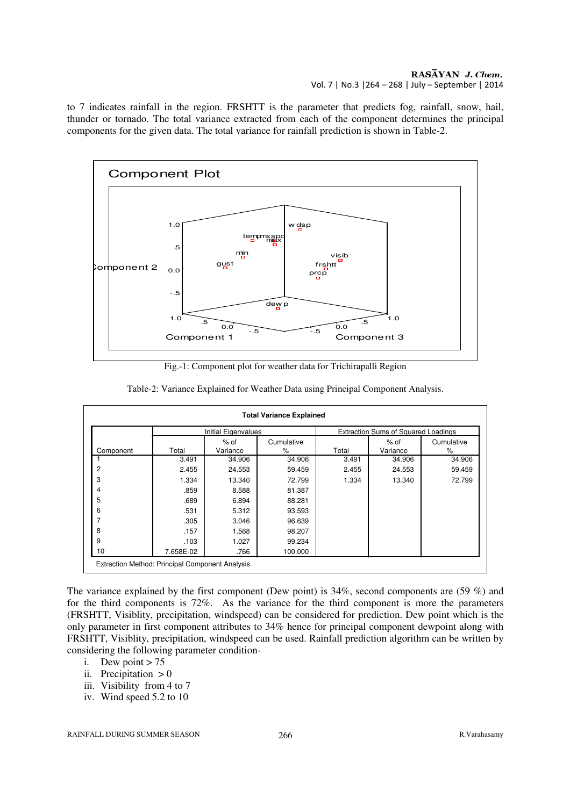### RASĀYAN J. Chem. Vol. 7 | No.3 |264 – 268 | July – September | 2014

to 7 indicates rainfall in the region. FRSHTT is the parameter that predicts fog, rainfall, snow, hail, thunder or tornado. The total variance extracted from each of the component determines the principal components for the given data. The total variance for rainfall prediction is shown in Table-2.



Fig.-1: Component plot for weather data for Trichirapalli Region

| <b>Total Variance Explained</b>                  |                            |          |            |                                            |          |            |  |
|--------------------------------------------------|----------------------------|----------|------------|--------------------------------------------|----------|------------|--|
|                                                  | <b>Initial Eigenvalues</b> |          |            | <b>Extraction Sums of Squared Loadings</b> |          |            |  |
|                                                  |                            | $%$ of   | Cumulative |                                            | $%$ of   | Cumulative |  |
| Component                                        | Total                      | Variance | ℅          | Total                                      | Variance | ℅          |  |
|                                                  | 3.491                      | 34.906   | 34.906     | 3.491                                      | 34.906   | 34.906     |  |
| 2                                                | 2.455                      | 24.553   | 59.459     | 2.455                                      | 24.553   | 59.459     |  |
| 3                                                | 1.334                      | 13.340   | 72.799     | 1.334                                      | 13.340   | 72.799     |  |
| 4                                                | .859                       | 8.588    | 81.387     |                                            |          |            |  |
| 5                                                | .689                       | 6.894    | 88.281     |                                            |          |            |  |
| 6                                                | .531                       | 5.312    | 93.593     |                                            |          |            |  |
| ⇁                                                | .305                       | 3.046    | 96.639     |                                            |          |            |  |
| 8                                                | .157                       | 1.568    | 98.207     |                                            |          |            |  |
| 9                                                | .103                       | 1.027    | 99.234     |                                            |          |            |  |
| 10                                               | 7.658E-02                  | .766     | 100.000    |                                            |          |            |  |
| Extraction Method: Principal Component Analysis. |                            |          |            |                                            |          |            |  |

Table-2: Variance Explained for Weather Data using Principal Component Analysis.

The variance explained by the first component (Dew point) is 34%, second components are (59 %) and for the third components is 72%. As the variance for the third component is more the parameters (FRSHTT, Visiblity, precipitation, windspeed) can be considered for prediction. Dew point which is the only parameter in first component attributes to 34% hence for principal component dewpoint along with FRSHTT, Visiblity, precipitation, windspeed can be used. Rainfall prediction algorithm can be written by considering the following parameter condition-

- i. Dew point  $> 75$
- ii. Precipitation  $> 0$
- iii. Visibility from 4 to 7
- iv. Wind speed 5.2 to 10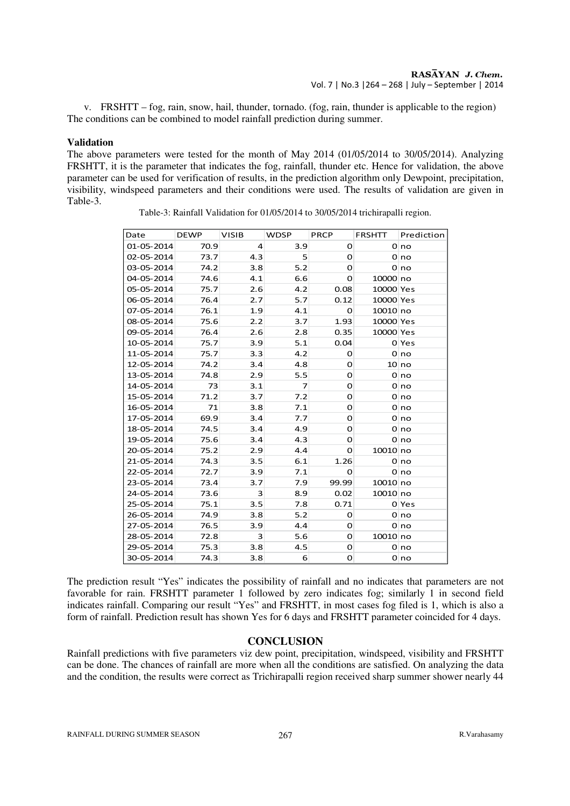v. FRSHTT – fog, rain, snow, hail, thunder, tornado. (fog, rain, thunder is applicable to the region) The conditions can be combined to model rainfall prediction during summer.

#### **Validation**

The above parameters were tested for the month of May 2014 (01/05/2014 to 30/05/2014). Analyzing FRSHTT, it is the parameter that indicates the fog, rainfall, thunder etc. Hence for validation, the above parameter can be used for verification of results, in the prediction algorithm only Dewpoint, precipitation, visibility, windspeed parameters and their conditions were used. The results of validation are given in Table-3.

Table-3: Rainfall Validation for 01/05/2014 to 30/05/2014 trichirapalli region.

| Date       | <b>DEWP</b> | <b>VISIB</b>   | <b>WDSP</b>    | <b>PRCP</b> | FRSHTT    | Prediction      |
|------------|-------------|----------------|----------------|-------------|-----------|-----------------|
| 01-05-2014 | 70.9        | $\overline{4}$ | 3.9            | $\Omega$    |           | 0 no            |
| 02-05-2014 | 73.7        | 4.3            | 5              | $\Omega$    |           | 0 <sub>no</sub> |
| 03-05-2014 | 74.2        | 3.8            | 5.2            | $\Omega$    |           | 0 no            |
| 04-05-2014 | 74.6        | 4.1            | 6.6            | O           | 10000 no  |                 |
| 05-05-2014 | 75.7        | 2.6            | 4.2            | 0.08        | 10000 Yes |                 |
| 06-05-2014 | 76.4        | 2.7            | 5.7            | 0.12        | 10000 Yes |                 |
| 07-05-2014 | 76.1        | 1.9            | 4.1            | $\mathbf 0$ | 10010 no  |                 |
| 08-05-2014 | 75.6        | 2.2            | 3.7            | 1.93        | 10000 Yes |                 |
| 09-05-2014 | 76.4        | 2.6            | 2.8            | 0.35        | 10000 Yes |                 |
| 10-05-2014 | 75.7        | 3.9            | 5.1            | 0.04        |           | 0 Yes           |
| 11-05-2014 | 75.7        | 3.3            | 4.2            | 0           |           | 0 no            |
| 12-05-2014 | 74.2        | 3.4            | 4.8            | O           |           | 10 no           |
| 13-05-2014 | 74.8        | 2.9            | 5.5            | O           |           | 0 no            |
| 14-05-2014 | 73          | 3.1            | $\overline{7}$ | 0           |           | 0 no            |
| 15-05-2014 | 71.2        | 3.7            | 7.2            | O           |           | 0 no            |
| 16-05-2014 | 71          | 3.8            | 7.1            | O           |           | 0 no            |
| 17-05-2014 | 69.9        | 3.4            | 7.7            | O           |           | 0 no            |
| 18-05-2014 | 74.5        | 3.4            | 4.9            | $\Omega$    |           | 0 no            |
| 19-05-2014 | 75.6        | 3.4            | 4.3            | O           |           | 0 no            |
| 20-05-2014 | 75.2        | 2.9            | 4.4            | 0           | 10010 no  |                 |
| 21-05-2014 | 74.3        | 3.5            | 6.1            | 1.26        |           | 0 no            |
| 22-05-2014 | 72.7        | 3.9            | 7.1            | 0           |           | 0 no            |
| 23-05-2014 | 73.4        | 3.7            | 7.9            | 99.99       | 10010 no  |                 |
| 24-05-2014 | 73.6        | 3              | 8.9            | 0.02        | 10010 no  |                 |
| 25-05-2014 | 75.1        | 3.5            | 7.8            | 0.71        |           | 0 Yes           |
| 26-05-2014 | 74.9        | 3.8            | 5.2            | O           |           | 0 no            |
| 27-05-2014 | 76.5        | 3.9            | 4.4            | 0           |           | 0 no            |
| 28-05-2014 | 72.8        | 3              | 5.6            | O           | 10010 no  |                 |
| 29-05-2014 | 75.3        | 3.8            | 4.5            | 0           |           | 0 no            |
| 30-05-2014 | 74.3        | 3.8            | 6              | 0           |           | 0 no            |

The prediction result "Yes" indicates the possibility of rainfall and no indicates that parameters are not favorable for rain. FRSHTT parameter 1 followed by zero indicates fog; similarly 1 in second field indicates rainfall. Comparing our result "Yes" and FRSHTT, in most cases fog filed is 1, which is also a form of rainfall. Prediction result has shown Yes for 6 days and FRSHTT parameter coincided for 4 days.

# **CONCLUSION**

Rainfall predictions with five parameters viz dew point, precipitation, windspeed, visibility and FRSHTT can be done. The chances of rainfall are more when all the conditions are satisfied. On analyzing the data and the condition, the results were correct as Trichirapalli region received sharp summer shower nearly 44